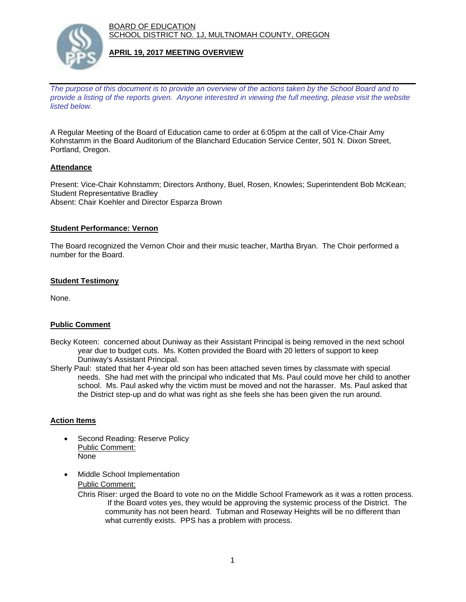BOARD OF EDUCATION SCHOOL DISTRICT NO. 1J, MULTNOMAH COUNTY, OREGON



### **APRIL 19, 2017 MEETING OVERVIEW**

*The purpose of this document is to provide an overview of the actions taken by the School Board and to provide a listing of the reports given. Anyone interested in viewing the full meeting, please visit the website listed below.*

A Regular Meeting of the Board of Education came to order at 6:05pm at the call of Vice-Chair Amy Kohnstamm in the Board Auditorium of the Blanchard Education Service Center, 501 N. Dixon Street, Portland, Oregon.

# **Attendance**

Present: Vice-Chair Kohnstamm; Directors Anthony, Buel, Rosen, Knowles; Superintendent Bob McKean; Student Representative Bradley Absent: Chair Koehler and Director Esparza Brown

#### **Student Performance: Vernon**

The Board recognized the Vernon Choir and their music teacher, Martha Bryan. The Choir performed a number for the Board.

#### **Student Testimony**

None.

# **Public Comment**

- Becky Koteen: concerned about Duniway as their Assistant Principal is being removed in the next school year due to budget cuts. Ms. Kotten provided the Board with 20 letters of support to keep Duniway's Assistant Principal.
- Sherly Paul: stated that her 4-year old son has been attached seven times by classmate with special needs. She had met with the principal who indicated that Ms. Paul could move her child to another school. Ms. Paul asked why the victim must be moved and not the harasser. Ms. Paul asked that the District step-up and do what was right as she feels she has been given the run around.

#### **Action Items**

- Second Reading: Reserve Policy Public Comment: None
- Middle School Implementation

# Public Comment:

Chris Riser: urged the Board to vote no on the Middle School Framework as it was a rotten process. If the Board votes yes, they would be approving the systemic process of the District. The community has not been heard. Tubman and Roseway Heights will be no different than what currently exists. PPS has a problem with process.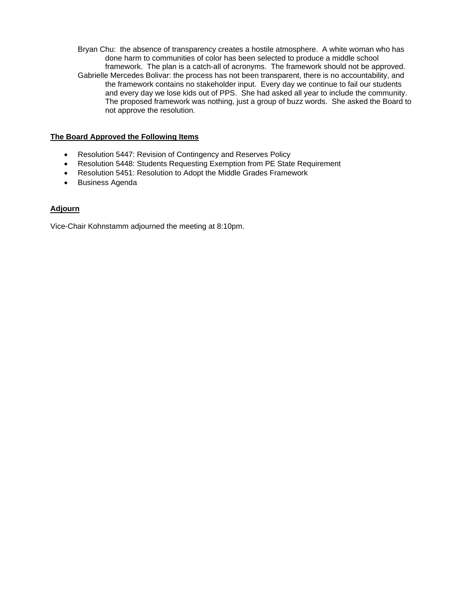Bryan Chu: the absence of transparency creates a hostile atmosphere. A white woman who has done harm to communities of color has been selected to produce a middle school framework. The plan is a catch-all of acronyms. The framework should not be approved. Gabrielle Mercedes Bolivar: the process has not been transparent, there is no accountability, and the framework contains no stakeholder input. Every day we continue to fail our students and every day we lose kids out of PPS. She had asked all year to include the community. The proposed framework was nothing, just a group of buzz words. She asked the Board to not approve the resolution.

### **The Board Approved the Following Items**

- Resolution 5447: Revision of Contingency and Reserves Policy
- Resolution 5448: Students Requesting Exemption from PE State Requirement
- Resolution 5451: Resolution to Adopt the Middle Grades Framework
- Business Agenda

# **Adjourn**

Vice-Chair Kohnstamm adjourned the meeting at 8:10pm.